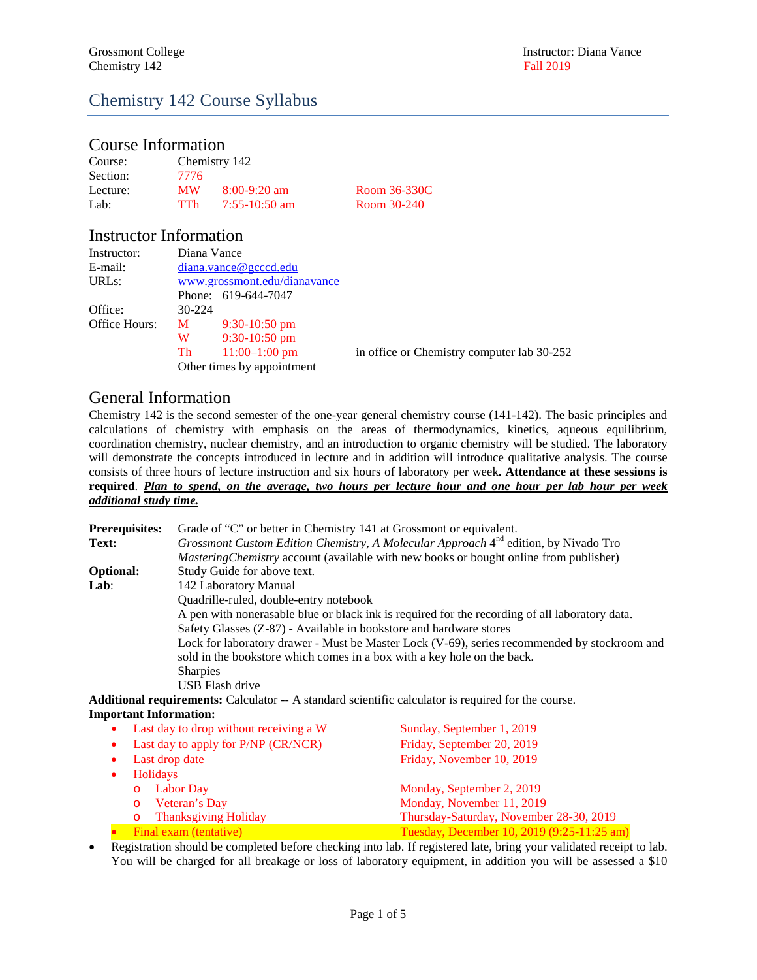## Chemistry 142 Course Syllabus

## Course Information

| Course:  |           | Chemistry 142   |              |
|----------|-----------|-----------------|--------------|
| Section: | 7776      |                 |              |
| Lecture: | <b>MW</b> | $8:00-9:20$ am  | Room 36-330C |
| Lab:     | TTh       | $7:55-10:50$ am | Room 30-240  |

## Instructor Information

| Instructor:        | Diana Vance                  |                            |                                            |
|--------------------|------------------------------|----------------------------|--------------------------------------------|
| E-mail:            | $d$ iana.vance@gcccd.edu     |                            |                                            |
| URL <sub>s</sub> : | www.grossmont.edu/dianavance |                            |                                            |
|                    |                              | Phone: 619-644-7047        |                                            |
| Office:            | $30-224$                     |                            |                                            |
| Office Hours:      | M                            | $9:30-10:50$ pm            |                                            |
|                    | W                            | $9:30-10:50$ pm            |                                            |
|                    | Th                           | $11:00-1:00$ pm            | in office or Chemistry computer lab 30-252 |
|                    |                              | Other times by appointment |                                            |

### General Information

Chemistry 142 is the second semester of the one-year general chemistry course (141-142). The basic principles and calculations of chemistry with emphasis on the areas of thermodynamics, kinetics, aqueous equilibrium, coordination chemistry, nuclear chemistry, and an introduction to organic chemistry will be studied. The laboratory will demonstrate the concepts introduced in lecture and in addition will introduce qualitative analysis. The course consists of three hours of lecture instruction and six hours of laboratory per week**. Attendance at these sessions is required**. *Plan to spend, on the average, two hours per lecture hour and one hour per lab hour per week additional study time.*

| <b>Prerequisites:</b> | Grade of "C" or better in Chemistry 141 at Grossmont or equivalent.                                |  |  |  |
|-----------------------|----------------------------------------------------------------------------------------------------|--|--|--|
| Text:                 | Grossmont Custom Edition Chemistry, A Molecular Approach 4 <sup>nd</sup> edition, by Nivado Tro    |  |  |  |
|                       | <i>Mastering Chemistry</i> account (available with new books or bought online from publisher)      |  |  |  |
| <b>Optional:</b>      | Study Guide for above text.                                                                        |  |  |  |
| Lab:                  | 142 Laboratory Manual                                                                              |  |  |  |
|                       | Quadrille-ruled, double-entry notebook                                                             |  |  |  |
|                       | A pen with nonerasable blue or black ink is required for the recording of all laboratory data.     |  |  |  |
|                       | Safety Glasses (Z-87) - Available in bookstore and hardware stores                                 |  |  |  |
|                       | Lock for laboratory drawer - Must be Master Lock (V-69), series recommended by stockroom and       |  |  |  |
|                       | sold in the bookstore which comes in a box with a key hole on the back.                            |  |  |  |
|                       | <b>Sharpies</b>                                                                                    |  |  |  |
|                       | USB Flash drive                                                                                    |  |  |  |
|                       | A standard scientific coloulator is required for the course<br>Additional requirements: Calculator |  |  |  |

**Additional requirements:** Calculator -- A standard scientific calculator is required for the course. **Important Information:**

|                | • Last day to drop without receiving a W | Sunday, September 1, 2019                  |  |
|----------------|------------------------------------------|--------------------------------------------|--|
|                | Last day to apply for P/NP (CR/NCR)      | Friday, September 20, 2019                 |  |
| Last drop date |                                          | Friday, November 10, 2019                  |  |
|                | <b>Holidays</b>                          |                                            |  |
|                | Labor Day<br>$\Omega$                    | Monday, September 2, 2019                  |  |
|                | Veteran's Day<br>$\circ$                 | Monday, November 11, 2019                  |  |
|                | <b>Thanksgiving Holiday</b><br>$\circ$   | Thursday-Saturday, November 28-30, 2019    |  |
|                | Final exam (tentative)                   | Tuesday, December 10, 2019 (9:25-11:25 am) |  |

• Registration should be completed before checking into lab. If registered late, bring your validated receipt to lab. You will be charged for all breakage or loss of laboratory equipment, in addition you will be assessed a \$10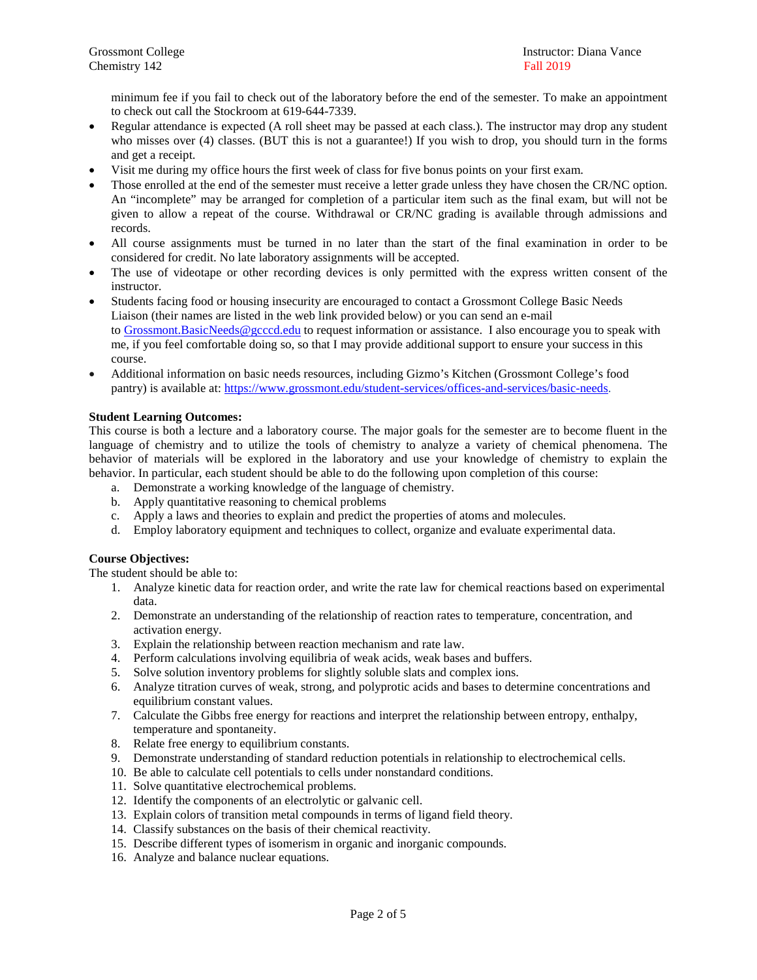minimum fee if you fail to check out of the laboratory before the end of the semester. To make an appointment to check out call the Stockroom at 619-644-7339.

- Regular attendance is expected (A roll sheet may be passed at each class.). The instructor may drop any student who misses over (4) classes. (BUT this is not a guarantee!) If you wish to drop, you should turn in the forms and get a receipt.
- Visit me during my office hours the first week of class for five bonus points on your first exam.
- Those enrolled at the end of the semester must receive a letter grade unless they have chosen the CR/NC option. An "incomplete" may be arranged for completion of a particular item such as the final exam, but will not be given to allow a repeat of the course. Withdrawal or CR/NC grading is available through admissions and records.
- All course assignments must be turned in no later than the start of the final examination in order to be considered for credit. No late laboratory assignments will be accepted.
- The use of videotape or other recording devices is only permitted with the express written consent of the instructor.
- Students facing food or housing insecurity are encouraged to contact a Grossmont College Basic Needs Liaison (their names are listed in the web link provided below) or you can send an e-mail to [Grossmont.BasicNeeds@gcccd.edu](mailto:Grossmont.BasicNeeds@gcccd.edu) to request information or assistance. I also encourage you to speak with me, if you feel comfortable doing so, so that I may provide additional support to ensure your success in this course.
- Additional information on basic needs resources, including Gizmo's Kitchen (Grossmont College's food pantry) is available at: [https://www.grossmont.edu/student-services/offices-and-services/basic-needs.](https://www.grossmont.edu/student-services/offices-and-services/basic-needs/)

#### **Student Learning Outcomes:**

This course is both a lecture and a laboratory course. The major goals for the semester are to become fluent in the language of chemistry and to utilize the tools of chemistry to analyze a variety of chemical phenomena. The behavior of materials will be explored in the laboratory and use your knowledge of chemistry to explain the behavior. In particular, each student should be able to do the following upon completion of this course:

- a. Demonstrate a working knowledge of the language of chemistry.
- b. Apply quantitative reasoning to chemical problems
- c. Apply a laws and theories to explain and predict the properties of atoms and molecules.
- d. Employ laboratory equipment and techniques to collect, organize and evaluate experimental data.

#### **Course Objectives:**

The student should be able to:

- 1. Analyze kinetic data for reaction order, and write the rate law for chemical reactions based on experimental data.
- 2. Demonstrate an understanding of the relationship of reaction rates to temperature, concentration, and activation energy.
- 3. Explain the relationship between reaction mechanism and rate law.
- 4. Perform calculations involving equilibria of weak acids, weak bases and buffers.
- 5. Solve solution inventory problems for slightly soluble slats and complex ions.
- 6. Analyze titration curves of weak, strong, and polyprotic acids and bases to determine concentrations and equilibrium constant values.
- 7. Calculate the Gibbs free energy for reactions and interpret the relationship between entropy, enthalpy, temperature and spontaneity.
- 8. Relate free energy to equilibrium constants.
- 9. Demonstrate understanding of standard reduction potentials in relationship to electrochemical cells.
- 10. Be able to calculate cell potentials to cells under nonstandard conditions.
- 11. Solve quantitative electrochemical problems.
- 12. Identify the components of an electrolytic or galvanic cell.
- 13. Explain colors of transition metal compounds in terms of ligand field theory.
- 14. Classify substances on the basis of their chemical reactivity.
- 15. Describe different types of isomerism in organic and inorganic compounds.
- 16. Analyze and balance nuclear equations.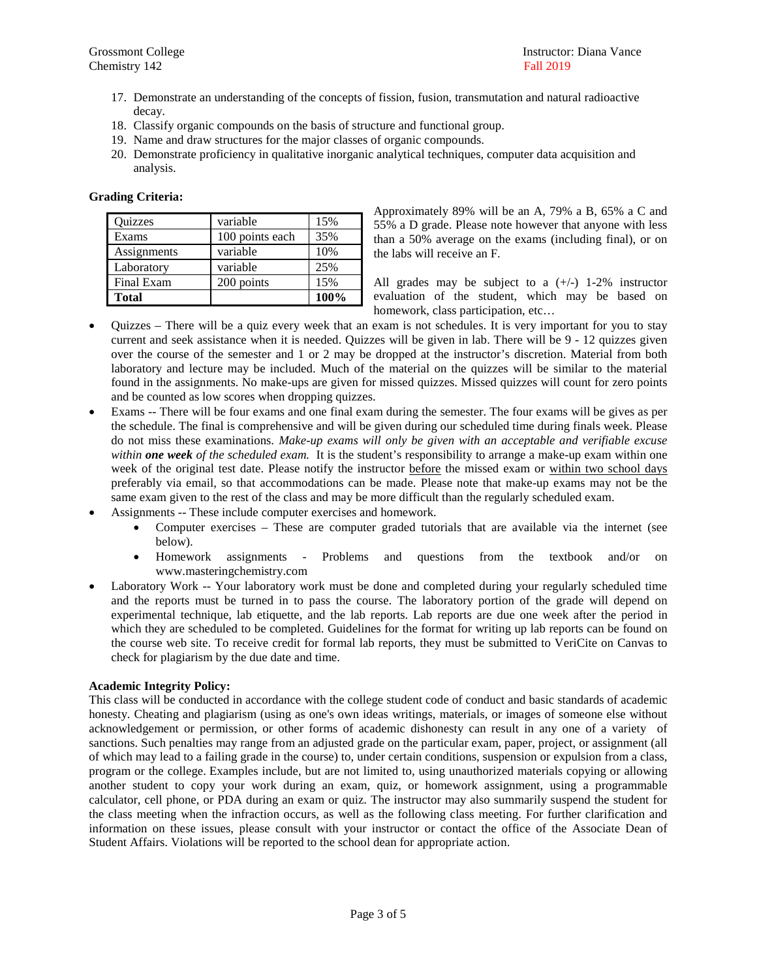- 17. Demonstrate an understanding of the concepts of fission, fusion, transmutation and natural radioactive decay.
- 18. Classify organic compounds on the basis of structure and functional group.
- 19. Name and draw structures for the major classes of organic compounds.
- 20. Demonstrate proficiency in qualitative inorganic analytical techniques, computer data acquisition and analysis.

#### **Grading Criteria:**

| Quizzes      | variable        | 15%  |
|--------------|-----------------|------|
| Exams        | 100 points each | 35%  |
| Assignments  | variable        | 10%  |
| Laboratory   | variable        | 25%  |
| Final Exam   | 200 points      | 15%  |
| <b>Total</b> |                 | 100% |

Approximately 89% will be an A, 79% a B, 65% a C and 55% a D grade. Please note however that anyone with less than a 50% average on the exams (including final), or on the labs will receive an F.

All grades may be subject to a  $(+/-)$  1-2% instructor evaluation of the student, which may be based on homework, class participation, etc…

- Quizzes There will be a quiz every week that an exam is not schedules. It is very important for you to stay current and seek assistance when it is needed. Quizzes will be given in lab. There will be 9 - 12 quizzes given over the course of the semester and 1 or 2 may be dropped at the instructor's discretion. Material from both laboratory and lecture may be included. Much of the material on the quizzes will be similar to the material found in the assignments. No make-ups are given for missed quizzes. Missed quizzes will count for zero points and be counted as low scores when dropping quizzes.
- Exams -- There will be four exams and one final exam during the semester. The four exams will be gives as per the schedule. The final is comprehensive and will be given during our scheduled time during finals week. Please do not miss these examinations. *Make-up exams will only be given with an acceptable and verifiable excuse within one week of the scheduled exam.* It is the student's responsibility to arrange a make-up exam within one week of the original test date. Please notify the instructor before the missed exam or within two school days preferably via email, so that accommodations can be made. Please note that make-up exams may not be the same exam given to the rest of the class and may be more difficult than the regularly scheduled exam.
- Assignments -- These include computer exercises and homework.
	- Computer exercises These are computer graded tutorials that are available via the internet (see below).
	- Homework assignments Problems and questions from the textbook and/or on www.masteringchemistry.com
- Laboratory Work -- Your laboratory work must be done and completed during your regularly scheduled time and the reports must be turned in to pass the course. The laboratory portion of the grade will depend on experimental technique, lab etiquette, and the lab reports. Lab reports are due one week after the period in which they are scheduled to be completed. Guidelines for the format for writing up lab reports can be found on the course web site. To receive credit for formal lab reports, they must be submitted to VeriCite on Canvas to check for plagiarism by the due date and time.

#### **Academic Integrity Policy:**

This class will be conducted in accordance with the college student code of conduct and basic standards of academic honesty. Cheating and plagiarism (using as one's own ideas writings, materials, or images of someone else without acknowledgement or permission, or other forms of academic dishonesty can result in any one of a variety of sanctions. Such penalties may range from an adjusted grade on the particular exam, paper, project, or assignment (all of which may lead to a failing grade in the course) to, under certain conditions, suspension or expulsion from a class, program or the college. Examples include, but are not limited to, using unauthorized materials copying or allowing another student to copy your work during an exam, quiz, or homework assignment, using a programmable calculator, cell phone, or PDA during an exam or quiz. The instructor may also summarily suspend the student for the class meeting when the infraction occurs, as well as the following class meeting. For further clarification and information on these issues, please consult with your instructor or contact the office of the Associate Dean of Student Affairs. Violations will be reported to the school dean for appropriate action.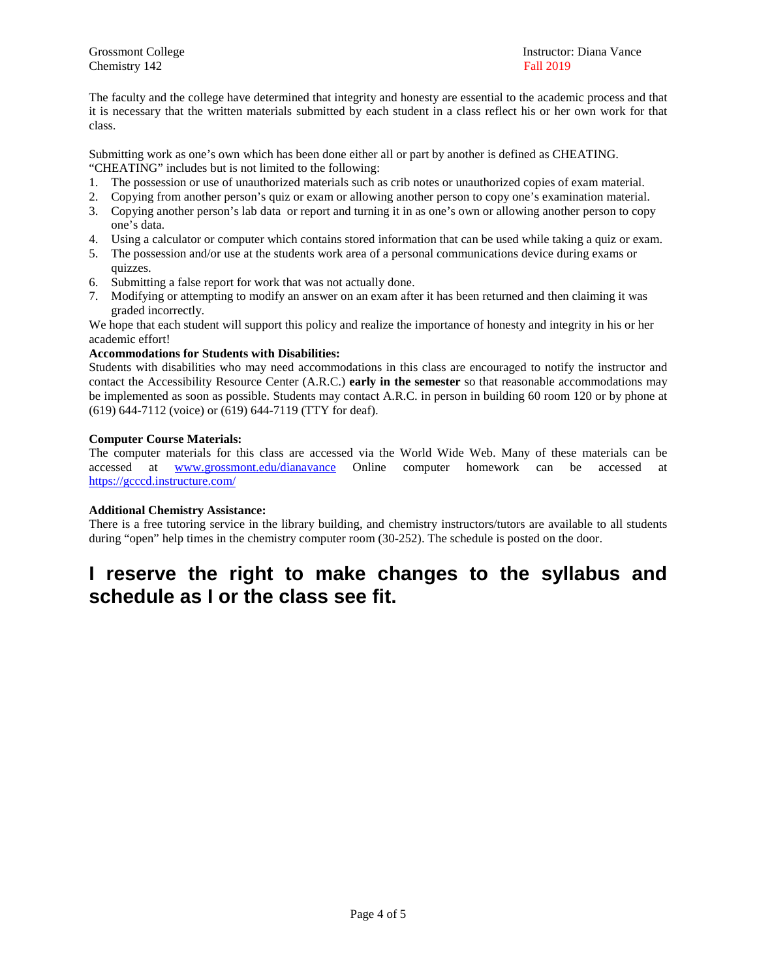Chemistry 142 Fall 2019

The faculty and the college have determined that integrity and honesty are essential to the academic process and that it is necessary that the written materials submitted by each student in a class reflect his or her own work for that class.

Submitting work as one's own which has been done either all or part by another is defined as CHEATING.

"CHEATING" includes but is not limited to the following:

- 1. The possession or use of unauthorized materials such as crib notes or unauthorized copies of exam material.
- 2. Copying from another person's quiz or exam or allowing another person to copy one's examination material.
- 3. Copying another person's lab data or report and turning it in as one's own or allowing another person to copy one's data.
- 4. Using a calculator or computer which contains stored information that can be used while taking a quiz or exam.
- 5. The possession and/or use at the students work area of a personal communications device during exams or quizzes.
- 6. Submitting a false report for work that was not actually done.
- 7. Modifying or attempting to modify an answer on an exam after it has been returned and then claiming it was graded incorrectly.

We hope that each student will support this policy and realize the importance of honesty and integrity in his or her academic effort!

#### **Accommodations for Students with Disabilities:**

Students with disabilities who may need accommodations in this class are encouraged to notify the instructor and contact the Accessibility Resource Center (A.R.C.) **early in the semester** so that reasonable accommodations may be implemented as soon as possible. Students may contact A.R.C. in person in building 60 room 120 or by phone at (619) 644-7112 (voice) or (619) 644-7119 (TTY for deaf).

#### **Computer Course Materials:**

The computer materials for this class are accessed via the World Wide Web. Many of these materials can be accessed at [www.grossmont.edu/dianavance](http://www.grossmont.edu/dianavance) Online computer homework can be accessed at <https://gcccd.instructure.com/>

#### **Additional Chemistry Assistance:**

There is a free tutoring service in the library building, and chemistry instructors/tutors are available to all students during "open" help times in the chemistry computer room (30-252). The schedule is posted on the door.

# **I reserve the right to make changes to the syllabus and schedule as I or the class see fit.**